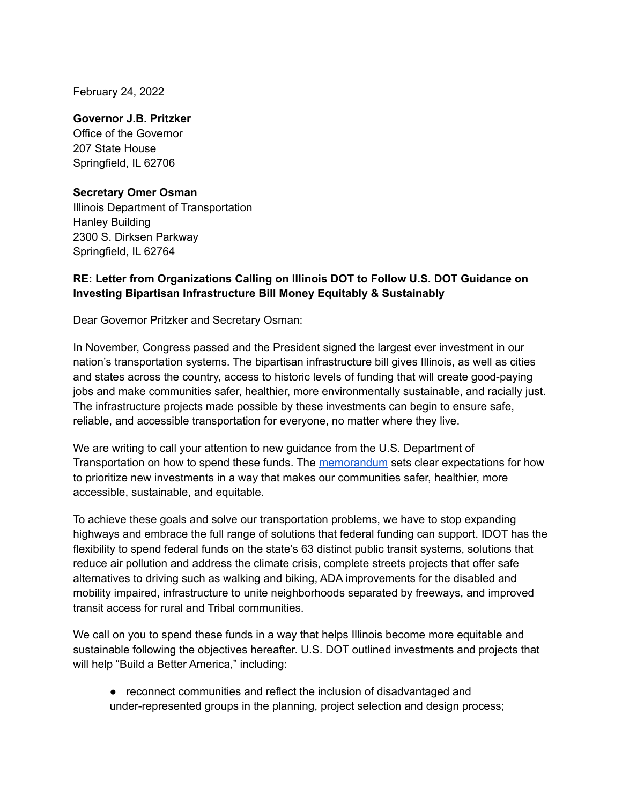February 24, 2022

## **Governor J.B. Pritzker**

Office of the Governor 207 State House Springfield, IL 62706

## **Secretary Omer Osman**

Illinois Department of Transportation Hanley Building 2300 S. Dirksen Parkway Springfield, IL 62764

## **RE: Letter from Organizations Calling on Illinois DOT to Follow U.S. DOT Guidance on Investing Bipartisan Infrastructure Bill Money Equitably & Sustainably**

Dear Governor Pritzker and Secretary Osman:

In November, Congress passed and the President signed the largest ever investment in our nation's transportation systems. The bipartisan infrastructure bill gives Illinois, as well as cities and states across the country, access to historic levels of funding that will create good-paying jobs and make communities safer, healthier, more environmentally sustainable, and racially just. The infrastructure projects made possible by these investments can begin to ensure safe, reliable, and accessible transportation for everyone, no matter where they live.

We are writing to call your attention to new guidance from the U.S. Department of Transportation on how to spend these funds. The [memorandum](https://www.fhwa.dot.gov/bipartisan-infrastructure-law/building_a_better_america-policy_framework.cfm) sets clear expectations for how to prioritize new investments in a way that makes our communities safer, healthier, more accessible, sustainable, and equitable.

To achieve these goals and solve our transportation problems, we have to stop expanding highways and embrace the full range of solutions that federal funding can support. IDOT has the flexibility to spend federal funds on the state's 63 distinct public transit systems, solutions that reduce air pollution and address the climate crisis, complete streets projects that offer safe alternatives to driving such as walking and biking, ADA improvements for the disabled and mobility impaired, infrastructure to unite neighborhoods separated by freeways, and improved transit access for rural and Tribal communities.

We call on you to spend these funds in a way that helps Illinois become more equitable and sustainable following the objectives hereafter. U.S. DOT outlined investments and projects that will help "Build a Better America," including:

● reconnect communities and reflect the inclusion of disadvantaged and under-represented groups in the planning, project selection and design process;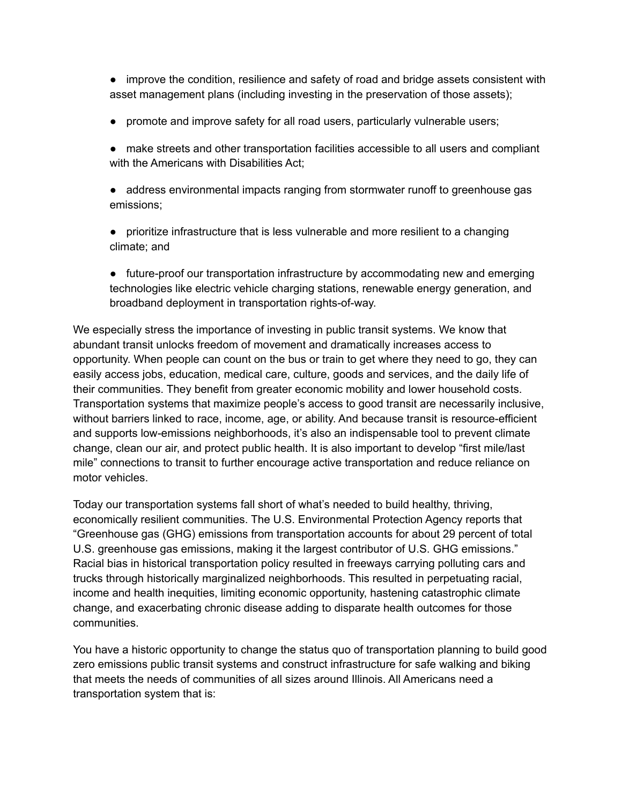● improve the condition, resilience and safety of road and bridge assets consistent with asset management plans (including investing in the preservation of those assets);

● promote and improve safety for all road users, particularly vulnerable users;

● make streets and other transportation facilities accessible to all users and compliant with the Americans with Disabilities Act;

● address environmental impacts ranging from stormwater runoff to greenhouse gas emissions;

● prioritize infrastructure that is less vulnerable and more resilient to a changing climate; and

● future-proof our transportation infrastructure by accommodating new and emerging technologies like electric vehicle charging stations, renewable energy generation, and broadband deployment in transportation rights-of-way.

We especially stress the importance of investing in public transit systems. We know that abundant transit unlocks freedom of movement and dramatically increases access to opportunity. When people can count on the bus or train to get where they need to go, they can easily access jobs, education, medical care, culture, goods and services, and the daily life of their communities. They benefit from greater economic mobility and lower household costs. Transportation systems that maximize people's access to good transit are necessarily inclusive, without barriers linked to race, income, age, or ability. And because transit is resource-efficient and supports low-emissions neighborhoods, it's also an indispensable tool to prevent climate change, clean our air, and protect public health. It is also important to develop "first mile/last mile" connections to transit to further encourage active transportation and reduce reliance on motor vehicles.

Today our transportation systems fall short of what's needed to build healthy, thriving, economically resilient communities. The U.S. Environmental Protection Agency reports that "Greenhouse gas (GHG) emissions from transportation accounts for about 29 percent of total U.S. greenhouse gas emissions, making it the largest contributor of U.S. GHG emissions." Racial bias in historical transportation policy resulted in freeways carrying polluting cars and trucks through historically marginalized neighborhoods. This resulted in perpetuating racial, income and health inequities, limiting economic opportunity, hastening catastrophic climate change, and exacerbating chronic disease adding to disparate health outcomes for those communities.

You have a historic opportunity to change the status quo of transportation planning to build good zero emissions public transit systems and construct infrastructure for safe walking and biking that meets the needs of communities of all sizes around Illinois. All Americans need a transportation system that is: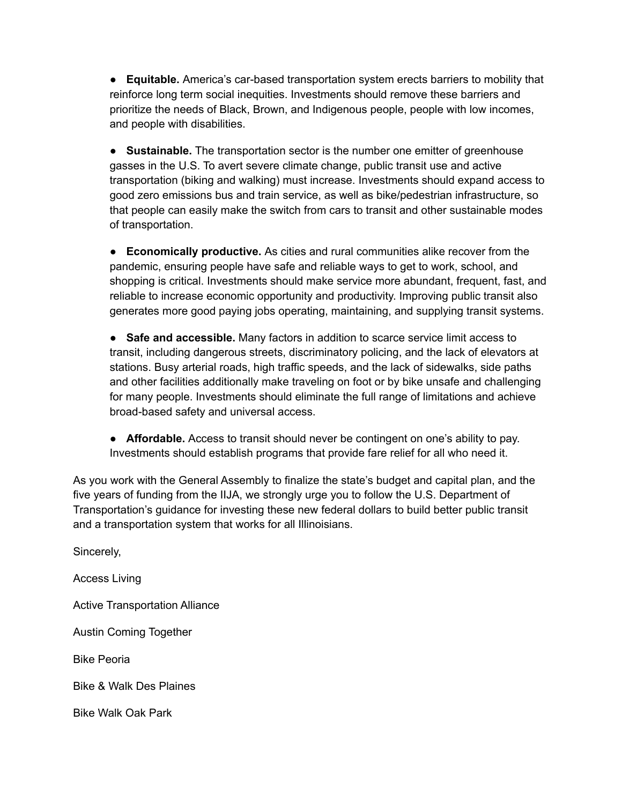● **Equitable.** America's car-based transportation system erects barriers to mobility that reinforce long term social inequities. Investments should remove these barriers and prioritize the needs of Black, Brown, and Indigenous people, people with low incomes, and people with disabilities.

● **Sustainable.** The transportation sector is the number one emitter of greenhouse gasses in the U.S. To avert severe climate change, public transit use and active transportation (biking and walking) must increase. Investments should expand access to good zero emissions bus and train service, as well as bike/pedestrian infrastructure, so that people can easily make the switch from cars to transit and other sustainable modes of transportation.

● **Economically productive.** As cities and rural communities alike recover from the pandemic, ensuring people have safe and reliable ways to get to work, school, and shopping is critical. Investments should make service more abundant, frequent, fast, and reliable to increase economic opportunity and productivity. Improving public transit also generates more good paying jobs operating, maintaining, and supplying transit systems.

● **Safe and accessible.** Many factors in addition to scarce service limit access to transit, including dangerous streets, discriminatory policing, and the lack of elevators at stations. Busy arterial roads, high traffic speeds, and the lack of sidewalks, side paths and other facilities additionally make traveling on foot or by bike unsafe and challenging for many people. Investments should eliminate the full range of limitations and achieve broad-based safety and universal access.

● **Affordable.** Access to transit should never be contingent on one's ability to pay. Investments should establish programs that provide fare relief for all who need it.

As you work with the General Assembly to finalize the state's budget and capital plan, and the five years of funding from the IIJA, we strongly urge you to follow the U.S. Department of Transportation's guidance for investing these new federal dollars to build better public transit and a transportation system that works for all Illinoisians.

Sincerely,

Access Living

Active Transportation Alliance

Austin Coming Together

Bike Peoria

Bike & Walk Des Plaines

Bike Walk Oak Park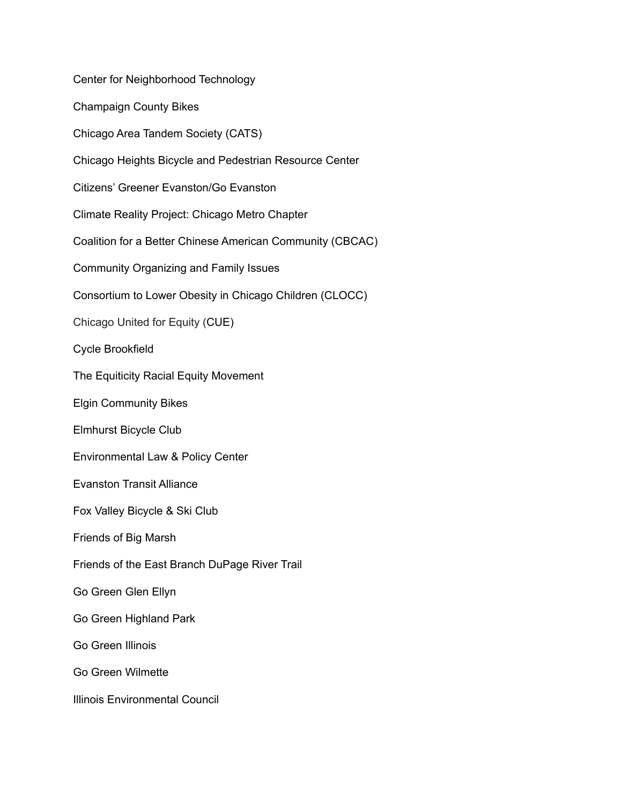Center for Neighborhood Technology Champaign County Bikes Chicago Area Tandem Society (CATS) Chicago Heights Bicycle and Pedestrian Resource Center Citizens' Greener Evanston/Go Evanston Climate Reality Project: Chicago Metro Chapter Coalition for a Better Chinese American Community (CBCAC) Community Organizing and Family Issues Consortium to Lower Obesity in Chicago Children (CLOCC) Chicago United for Equity (CUE) Cycle Brookfield The Equiticity Racial Equity Movement Elgin Community Bikes Elmhurst Bicycle Club Environmental Law & Policy Center Evanston Transit Alliance Fox Valley Bicycle & Ski Club Friends of Big Marsh Friends of the East Branch DuPage River Trail Go Green Glen Ellyn Go Green Highland Park Go Green Illinois Go Green Wilmette Illinois Environmental Council